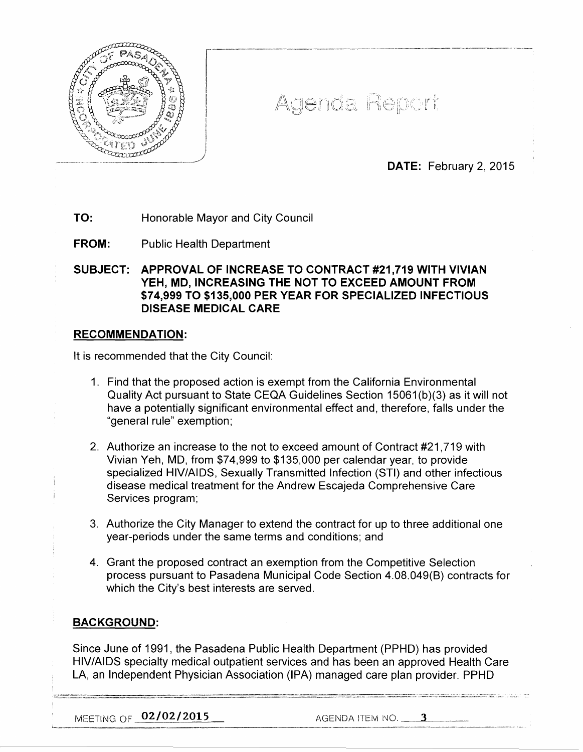

Agenda Report

DATE: February 2, 2015

TO: Honorable Mayor and City Council

FROM: Public Health Department

SUBJECT: APPROVAL OF INCREASE TO CONTRACT #21,719 WITH VIVIAN YEH, MD, INCREASING THE NOT TO EXCEED AMOUNT FROM \$74,999 TO \$135,000 PER YEAR FOR SPECIALIZED INFECTIOUS DISEASE MEDICAL CARE

## RECOMMENDATION:

It is recommended that the City Council:

- 1. Find that the proposed action is exempt from the California Environmental Quality Act pursuant to State CEQA Guidelines Section 15061 (b)(3) as it will not have a potentially significant environmental effect and, therefore, falls under the "general rule" exemption;
- 2. Authorize an increase to the not to exceed amount of Contract #21 ,719 with Vivian Yeh, MD, from \$74,999 to \$135,000 per calendar year, to provide specialized HIV/AIDS, Sexually Transmitted Infection (STI) and other infectious disease medical treatment for the Andrew Escajeda Comprehensive Care Services program;
- 3. Authorize the City Manager to extend the contract for up to three additional one year-periods under the same terms and conditions; and
- 4. Grant the proposed contract an exemption from the Competitive Selection process pursuant to Pasadena Municipal Code Section 4.08.049(8) contracts for which the City's best interests are served.

## BACKGROUND:

Since June of 1991, the Pasadena Public Health Department (PPHD) has provided HIV/AIDS specialty medical outpatient services and has been an approved Health Care LA, an Independent Physician Association (IPA) managed care plan provider. PPHD

MEETING OF <u>02/02/2015</u> AGENDA ITEM NO. 3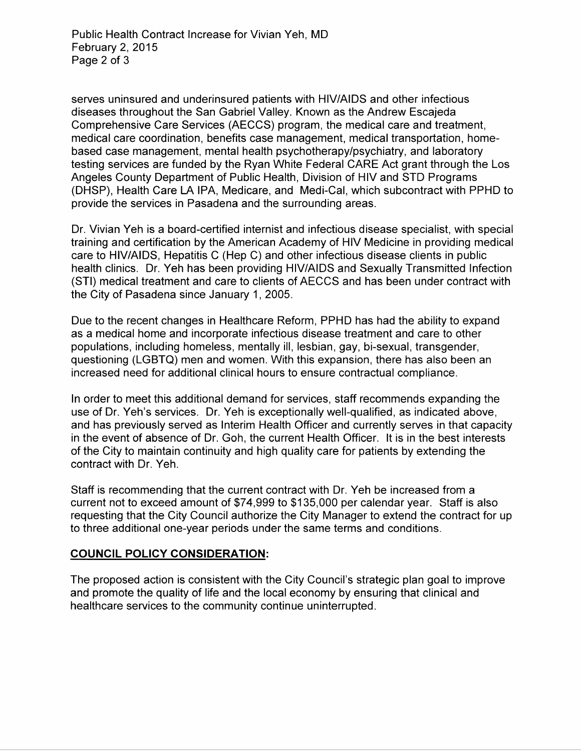serves uninsured and underinsured patients with HIV/AIDS and other infectious diseases throughout the San Gabriel Valley. Known as the Andrew Escajeda Comprehensive Care Services (AECCS) program, the medical care and treatment, medical care coordination, benefits case management, medical transportation, homebased case management, mental health psychotherapy/psychiatry, and laboratory testing services are funded by the Ryan White Federal CARE Act grant through the Los Angeles County Department of Public Health, Division of HIV and STD Programs (DHSP), Health Care LA IPA, Medicare, and Medi-Cal, which subcontract with PPHD to provide the services in Pasadena and the surrounding areas.

Dr. Vivian Yeh is a board-certified internist and infectious disease specialist, with special training and certification by the American Academy of HIV Medicine in providing medical care to HIV/AIDS, Hepatitis C (Hep C) and other infectious disease clients in public health clinics. Dr. Yeh has been providing HIV/AIDS and Sexually Transmitted Infection (STI) medical treatment and care to clients of AECCS and has been under contract with the City of Pasadena since January 1, 2005.

Due to the recent changes in Healthcare Reform, PPHD has had the ability to expand as a medical home and incorporate infectious disease treatment and care to other populations, including homeless, mentally ill, lesbian, gay, bi-sexual, transgender, questioning (LGBTQ) men and women. With this expansion, there has also been an increased need for additional clinical hours to ensure contractual compliance.

In order to meet this additional demand for services, staff recommends expanding the use of Dr. Yeh's services. Dr. Yeh is exceptionally well-qualified, as indicated above, and has previously served as Interim Health Officer and currently serves in that capacity in the event of absence of Dr. Goh, the current Health Officer. It is in the best interests of the City to maintain continuity and high quality care for patients by extending the contract with Dr. Yeh.

Staff is recommending that the current contract with Dr. Yeh be increased from a current not to exceed amount of \$74,999 to \$135,000 per calendar year. Staff is also requesting that the City Council authorize the City Manager to extend the contract for up to three additional one-year periods under the same terms and conditions.

## **COUNCIL POLICY CONSIDERATION:**

The proposed action is consistent with the City Council's strategic plan goal to improve and promote the quality of life and the local economy by ensuring that clinical and healthcare services to the community continue uninterrupted.